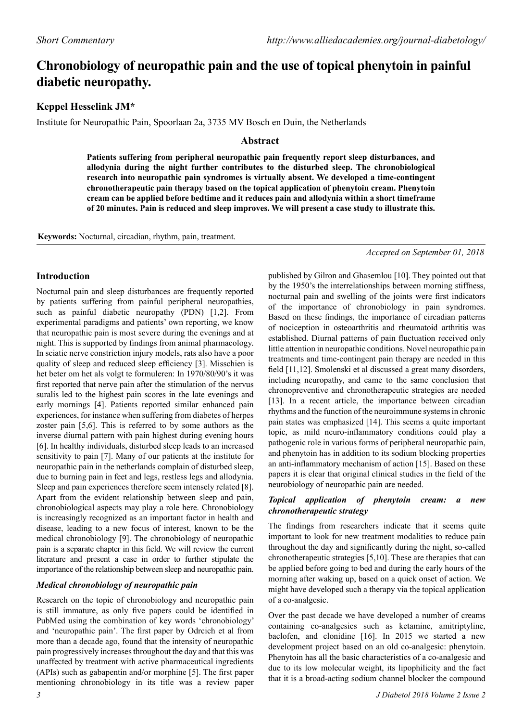# **Chronobiology of neuropathic pain and the use of topical phenytoin in painful diabetic neuropathy.**

# **Keppel Hesselink JM\***

Institute for Neuropathic Pain, Spoorlaan 2a, 3735 MV Bosch en Duin, the Netherlands

## **Abstract**

**Patients suffering from peripheral neuropathic pain frequently report sleep disturbances, and allodynia during the night further contributes to the disturbed sleep. The chronobiological research into neuropathic pain syndromes is virtually absent. We developed a time-contingent chronotherapeutic pain therapy based on the topical application of phenytoin cream. Phenytoin cream can be applied before bedtime and it reduces pain and allodynia within a short timeframe of 20 minutes. Pain is reduced and sleep improves. We will present a case study to illustrate this.**

**Keywords:** Nocturnal, circadian, rhythm, pain, treatment.

*Accepted on September 01, 2018*

## **Introduction**

Nocturnal pain and sleep disturbances are frequently reported by patients suffering from painful peripheral neuropathies, such as painful diabetic neuropathy (PDN) [1,2]. From experimental paradigms and patients' own reporting, we know that neuropathic pain is most severe during the evenings and at night. This is supported by findings from animal pharmacology. In sciatic nerve constriction injury models, rats also have a poor quality of sleep and reduced sleep efficiency [3]. Misschien is het beter om het als volgt te formuleren: In 1970/80/90's it was first reported that nerve pain after the stimulation of the nervus suralis led to the highest pain scores in the late evenings and early mornings [4]. Patients reported similar enhanced pain experiences, for instance when suffering from diabetes of herpes zoster pain [5,6]. This is referred to by some authors as the inverse diurnal pattern with pain highest during evening hours [6]. In healthy individuals, disturbed sleep leads to an increased sensitivity to pain [7]. Many of our patients at the institute for neuropathic pain in the netherlands complain of disturbed sleep, due to burning pain in feet and legs, restless legs and allodynia. Sleep and pain experiences therefore seem intensely related [8]. Apart from the evident relationship between sleep and pain, chronobiological aspects may play a role here. Chronobiology is increasingly recognized as an important factor in health and disease, leading to a new focus of interest, known to be the medical chronobiology [9]. The chronobiology of neuropathic pain is a separate chapter in this field. We will review the current literature and present a case in order to further stipulate the importance of the relationship between sleep and neuropathic pain.

### *Medical chronobiology of neuropathic pain*

Research on the topic of chronobiology and neuropathic pain is still immature, as only five papers could be identified in PubMed using the combination of key words 'chronobiology' and 'neuropathic pain'. The first paper by Odrcich et al from more than a decade ago, found that the intensity of neuropathic pain progressively increases throughout the day and that this was unaffected by treatment with active pharmaceutical ingredients (APIs) such as gabapentin and/or morphine [5]. The first paper mentioning chronobiology in its title was a review paper

published by Gilron and Ghasemlou [10]. They pointed out that by the 1950's the interrelationships between morning stiffness, nocturnal pain and swelling of the joints were first indicators of the importance of chronobiology in pain syndromes. Based on these findings, the importance of circadian patterns of nociception in osteoarthritis and rheumatoid arthritis was established. Diurnal patterns of pain fluctuation received only little attention in neuropathic conditions. Novel neuropathic pain treatments and time-contingent pain therapy are needed in this field [11,12]. Smolenski et al discussed a great many disorders, including neuropathy, and came to the same conclusion that chronopreventive and chronotherapeutic strategies are needed [13]. In a recent article, the importance between circadian rhythms and the function of the neuroimmune systems in chronic pain states was emphasized [14]. This seems a quite important topic, as mild neuro-inflammatory conditions could play a pathogenic role in various forms of peripheral neuropathic pain, and phenytoin has in addition to its sodium blocking properties an anti-inflammatory mechanism of action [15]. Based on these papers it is clear that original clinical studies in the field of the neurobiology of neuropathic pain are needed.

### *Topical application of phenytoin cream: a new chronotherapeutic strategy*

The findings from researchers indicate that it seems quite important to look for new treatment modalities to reduce pain throughout the day and significantly during the night, so-called chronotherapeutic strategies [5,10]. These are therapies that can be applied before going to bed and during the early hours of the morning after waking up, based on a quick onset of action. We might have developed such a therapy via the topical application of a co-analgesic.

Over the past decade we have developed a number of creams containing co-analgesics such as ketamine, amitriptyline, baclofen, and clonidine [16]. In 2015 we started a new development project based on an old co-analgesic: phenytoin. Phenytoin has all the basic characteristics of a co-analgesic and due to its low molecular weight, its lipophilicity and the fact that it is a broad-acting sodium channel blocker the compound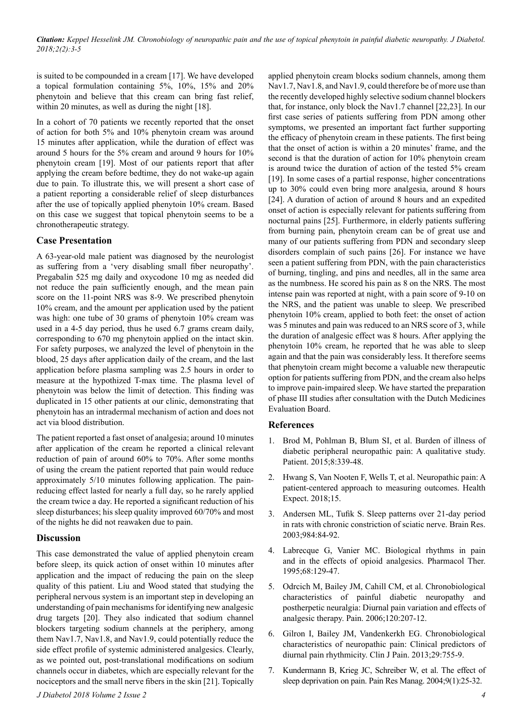*Citation: Keppel Hesselink JM. Chronobiology of neuropathic pain and the use of topical phenytoin in painful diabetic neuropathy. J Diabetol. 2018;2(2):3-5* 

is suited to be compounded in a cream [17]. We have developed a topical formulation containing 5%, 10%, 15% and 20% phenytoin and believe that this cream can bring fast relief, within 20 minutes, as well as during the night [18].

In a cohort of 70 patients we recently reported that the onset of action for both 5% and 10% phenytoin cream was around 15 minutes after application, while the duration of effect was around 5 hours for the 5% cream and around 9 hours for 10% phenytoin cream [19]. Most of our patients report that after applying the cream before bedtime, they do not wake-up again due to pain. To illustrate this, we will present a short case of a patient reporting a considerable relief of sleep disturbances after the use of topically applied phenytoin 10% cream. Based on this case we suggest that topical phenytoin seems to be a chronotherapeutic strategy.

#### **Case Presentation**

A 63-year-old male patient was diagnosed by the neurologist as suffering from a 'very disabling small fiber neuropathy'. Pregabalin 525 mg daily and oxycodone 10 mg as needed did not reduce the pain sufficiently enough, and the mean pain score on the 11-point NRS was 8-9. We prescribed phenytoin 10% cream, and the amount per application used by the patient was high: one tube of 30 grams of phenytoin 10% cream was used in a 4-5 day period, thus he used 6.7 grams cream daily, corresponding to 670 mg phenytoin applied on the intact skin. For safety purposes, we analyzed the level of phenytoin in the blood, 25 days after application daily of the cream, and the last application before plasma sampling was 2.5 hours in order to measure at the hypothized T-max time. The plasma level of phenytoin was below the limit of detection. This finding was duplicated in 15 other patients at our clinic, demonstrating that phenytoin has an intradermal mechanism of action and does not act via blood distribution.

The patient reported a fast onset of analgesia; around 10 minutes after application of the cream he reported a clinical relevant reduction of pain of around 60% to 70%. After some months of using the cream the patient reported that pain would reduce approximately 5/10 minutes following application. The painreducing effect lasted for nearly a full day, so he rarely applied the cream twice a day. He reported a significant reduction of his sleep disturbances; his sleep quality improved 60/70% and most of the nights he did not reawaken due to pain.

#### **Discussion**

This case demonstrated the value of applied phenytoin cream before sleep, its quick action of onset within 10 minutes after application and the impact of reducing the pain on the sleep quality of this patient. Liu and Wood stated that studying the peripheral nervous system is an important step in developing an understanding of pain mechanisms for identifying new analgesic drug targets [20]. They also indicated that sodium channel blockers targeting sodium channels at the periphery, among them Nav1.7, Nav1.8, and Nav1.9, could potentially reduce the side effect profile of systemic administered analgesics. Clearly, as we pointed out, post-translational modifications on sodium channels occur in diabetes, which are especially relevant for the nociceptors and the small nerve fibers in the skin [21]. Topically

applied phenytoin cream blocks sodium channels, among them Nav1.7, Nav1.8, and Nav1.9, could therefore be of more use than the recently developed highly selective sodium channel blockers that, for instance, only block the Nav1.7 channel [22,23]. In our first case series of patients suffering from PDN among other symptoms, we presented an important fact further supporting the efficacy of phenytoin cream in these patients. The first being that the onset of action is within a 20 minutes' frame, and the second is that the duration of action for 10% phenytoin cream is around twice the duration of action of the tested 5% cream [19]. In some cases of a partial response, higher concentrations up to 30% could even bring more analgesia, around 8 hours [24]. A duration of action of around 8 hours and an expedited onset of action is especially relevant for patients suffering from nocturnal pains [25]. Furthermore, in elderly patients suffering from burning pain, phenytoin cream can be of great use and many of our patients suffering from PDN and secondary sleep disorders complain of such pains [26]. For instance we have seen a patient suffering from PDN, with the pain characteristics of burning, tingling, and pins and needles, all in the same area as the numbness. He scored his pain as 8 on the NRS. The most intense pain was reported at night, with a pain score of 9-10 on the NRS, and the patient was unable to sleep. We prescribed phenytoin 10% cream, applied to both feet: the onset of action was 5 minutes and pain was reduced to an NRS score of 3, while the duration of analgesic effect was 8 hours. After applying the phenytoin 10% cream, he reported that he was able to sleep again and that the pain was considerably less. It therefore seems that phenytoin cream might become a valuable new therapeutic option for patients suffering from PDN, and the cream also helps to improve pain-impaired sleep. We have started the preparation of phase III studies after consultation with the Dutch Medicines Evaluation Board.

#### **References**

- 1. Brod M, Pohlman B, Blum SI, et al. Burden of illness of diabetic peripheral neuropathic pain: A qualitative study. Patient. 2015;8:339-48.
- 2. Hwang S, Van Nooten F, Wells T, et al. Neuropathic pain: A patient-centered approach to measuring outcomes. Health Expect. 2018;15.
- 3. Andersen ML, Tufik S. Sleep patterns over 21-day period in rats with chronic constriction of sciatic nerve. Brain Res. 2003;984:84-92.
- 4. Labrecque G, Vanier MC. Biological rhythms in pain and in the effects of opioid analgesics. Pharmacol Ther. 1995;68:129-47.
- 5. Odrcich M, Bailey JM, Cahill CM, et al. Chronobiological characteristics of painful diabetic neuropathy and postherpetic neuralgia: Diurnal pain variation and effects of analgesic therapy. Pain. 2006;120:207-12.
- 6. Gilron I, Bailey JM, Vandenkerkh EG. Chronobiological characteristics of neuropathic pain: Clinical predictors of diurnal pain rhythmicity. Clin J Pain. 2013;29:755-9.
- 7. Kundermann B, Krieg JC, Schreiber W, et al. The effect of sleep deprivation on pain. Pain Res Manag. 2004;9(1):25-32.